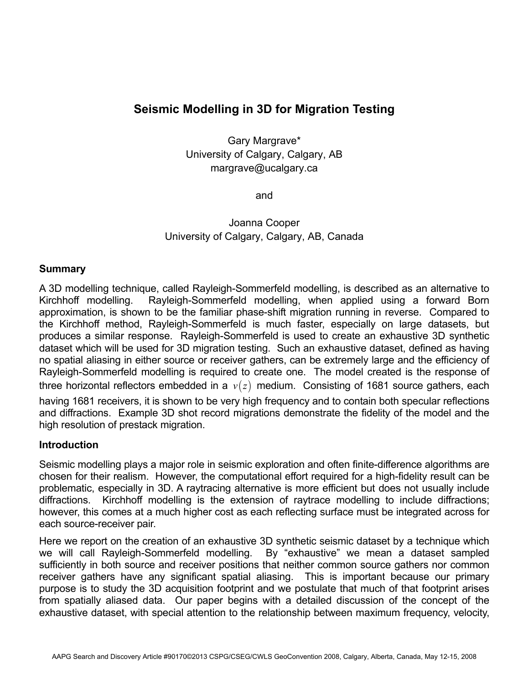# **Seismic Modelling in 3D for Migration Testing**

Gary Margrave\* University of Calgary, Calgary, AB margrave@ucalgary.ca

and

Joanna Cooper University of Calgary, Calgary, AB, Canada

## **Summary**

A 3D modelling technique, called Rayleigh-Sommerfeld modelling, is described as an alternative to Kirchhoff modelling. Rayleigh-Sommerfeld modelling, when applied using a forward Born approximation, is shown to be the familiar phase-shift migration running in reverse. Compared to the Kirchhoff method, Rayleigh-Sommerfeld is much faster, especially on large datasets, but produces a similar response. Rayleigh-Sommerfeld is used to create an exhaustive 3D synthetic dataset which will be used for 3D migration testing. Such an exhaustive dataset, defined as having no spatial aliasing in either source or receiver gathers, can be extremely large and the efficiency of Rayleigh-Sommerfeld modelling is required to create one. The model created is the response of three horizontal reflectors embedded in a  $v(z)$  medium. Consisting of 1681 source gathers, each having 1681 receivers, it is shown to be very high frequency and to contain both specular reflections and diffractions. Example 3D shot record migrations demonstrate the fidelity of the model and the high resolution of prestack migration.

#### **Introduction**

Seismic modelling plays a major role in seismic exploration and often finite-difference algorithms are chosen for their realism. However, the computational effort required for a high-fidelity result can be problematic, especially in 3D. A raytracing alternative is more efficient but does not usually include diffractions. Kirchhoff modelling is the extension of raytrace modelling to include diffractions; however, this comes at a much higher cost as each reflecting surface must be integrated across for each source-receiver pair.

Here we report on the creation of an exhaustive 3D synthetic seismic dataset by a technique which we will call Rayleigh-Sommerfeld modelling. By "exhaustive" we mean a dataset sampled sufficiently in both source and receiver positions that neither common source gathers nor common receiver gathers have any significant spatial aliasing. This is important because our primary purpose is to study the 3D acquisition footprint and we postulate that much of that footprint arises from spatially aliased data. Our paper begins with a detailed discussion of the concept of the exhaustive dataset, with special attention to the relationship between maximum frequency, velocity,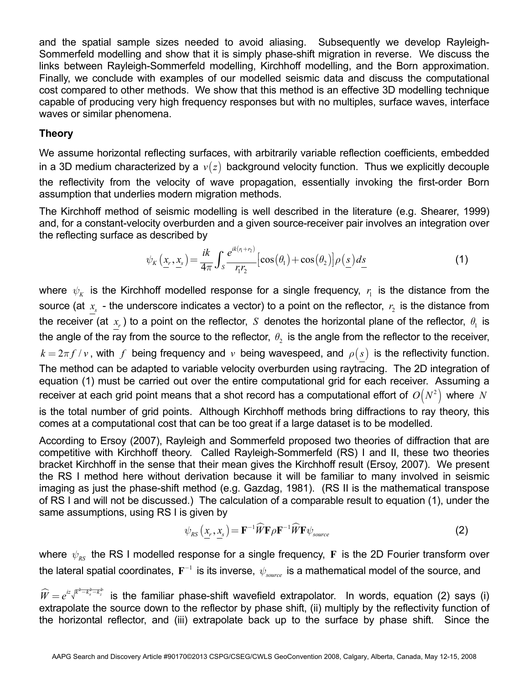and the spatial sample sizes needed to avoid aliasing. Subsequently we develop Rayleigh-Sommerfeld modelling and show that it is simply phase-shift migration in reverse. We discuss the links between Rayleigh-Sommerfeld modelling, Kirchhoff modelling, and the Born approximation. Finally, we conclude with examples of our modelled seismic data and discuss the computational cost compared to other methods. We show that this method is an effective 3D modelling technique capable of producing very high frequency responses but with no multiples, surface waves, interface waves or similar phenomena.

# **Theory**

We assume horizontal reflecting surfaces, with arbitrarily variable reflection coefficients, embedded in a 3D medium characterized by a  $v(z)$  background velocity function. Thus we explicitly decouple the reflectivity from the velocity of wave propagation, essentially invoking the first-order Born assumption that underlies modern migration methods.

The Kirchhoff method of seismic modelling is well described in the literature (e.g. Shearer, 1999) and, for a constant-velocity overburden and a given source-receiver pair involves an integration over the reflecting surface as described by

$$
\psi_K\left(\underline{x}_r, \underline{x}_s\right) = \frac{ik}{4\pi} \int_S \frac{e^{ik\left(\mu_r + \nu_s\right)}}{r_1 r_2} \left[\cos\left(\theta_1\right) + \cos\left(\theta_2\right)\right] \rho\left(\underline{s}\right) ds \tag{1}
$$

where  $\psi_{\scriptscriptstyle{K}}$  is the Kirchhoff modelled response for a single frequency,  $r_{\rm i}$  is the distance from the source (at  $x_s$  - the underscore indicates a vector) to a point on the reflector,  $r_2$  is the distance from the receiver (at  $x<sub>r</sub>$ ) to a point on the reflector, *S* denotes the horizontal plane of the reflector,  $\theta<sub>1</sub>$  is the angle of the ray from the source to the reflector,  $\theta$  is the angle from the reflector to the receiver,  $k = 2\pi f/v$ , with *f* being frequency and *v* being wavespeed, and  $\rho(s)$  is the reflectivity function. The method can be adapted to variable velocity overburden using raytracing. The 2D integration of equation (1) must be carried out over the entire computational grid for each receiver. Assuming a receiver at each grid point means that a shot record has a computational effort of  $O(N^2)$  where *N* is the total number of grid points. Although Kirchhoff methods bring diffractions to ray theory, this comes at a computational cost that can be too great if a large dataset is to be modelled.

According to Ersoy (2007), Rayleigh and Sommerfeld proposed two theories of diffraction that are competitive with Kirchhoff theory. Called Rayleigh-Sommerfeld (RS) I and II, these two theories bracket Kirchhoff in the sense that their mean gives the Kirchhoff result (Ersoy, 2007). We present the RS I method here without derivation because it will be familiar to many involved in seismic imaging as just the phase-shift method (e.g. Gazdag, 1981). (RS II is the mathematical transpose of RS I and will not be discussed.) The calculation of a comparable result to equation (1), under the same assumptions, using RS I is given by

$$
\psi_{RS}\left(x_r, x_s\right) = \mathbf{F}^{-1} \widehat{W} \mathbf{F} \rho \mathbf{F}^{-1} \widehat{W} \mathbf{F} \psi_{source}
$$
\n(2)

where  $\psi_{RS}$  the RS I modelled response for a single frequency, **F** is the 2D Fourier transform over the lateral spatial coordinates,  $\mathbf{F}^{-1}$  is its inverse,  $\psi_{source}$  is a mathematical model of the source, and

 $\widehat{W}=e^{iz\sqrt{k^2-k_x^2-k_z^2}}$  is the familiar phase-shift wavefield extrapolator. In words, equation (2) says (i) extrapolate the source down to the reflector by phase shift, (ii) multiply by the reflectivity function of the horizontal reflector, and (iii) extrapolate back up to the surface by phase shift. Since the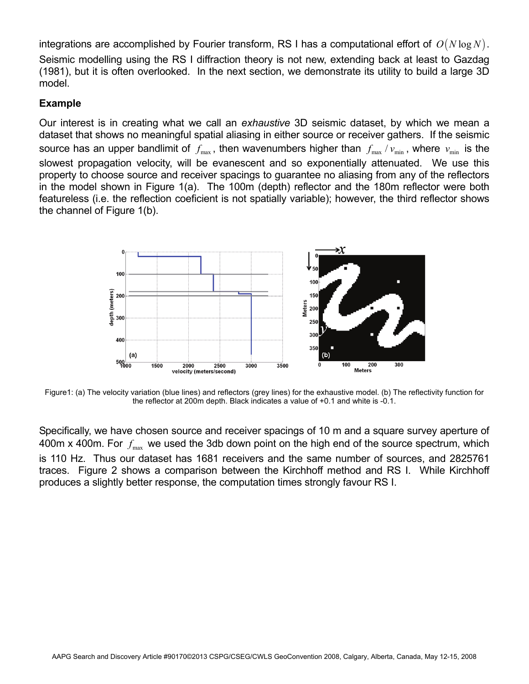integrations are accomplished by Fourier transform, RS I has a computational effort of  $O(N \log N)$ . Seismic modelling using the RS I diffraction theory is not new, extending back at least to Gazdag (1981), but it is often overlooked. In the next section, we demonstrate its utility to build a large 3D model.

## **Example**

Our interest is in creating what we call an *exhaustive* 3D seismic dataset, by which we mean a dataset that shows no meaningful spatial aliasing in either source or receiver gathers. If the seismic source has an upper bandlimit of  $f_{\text{max}}$ , then wavenumbers higher than  $f_{\text{max}}/v_{\text{min}}$ , where  $v_{\text{min}}$  is the slowest propagation velocity, will be evanescent and so exponentially attenuated. We use this property to choose source and receiver spacings to guarantee no aliasing from any of the reflectors in the model shown in Figure 1(a). The 100m (depth) reflector and the 180m reflector were both featureless (i.e. the reflection coeficient is not spatially variable); however, the third reflector shows the channel of Figure 1(b).



Figure1: (a) The velocity variation (blue lines) and reflectors (grey lines) for the exhaustive model. (b) The reflectivity function for the reflector at 200m depth. Black indicates a value of +0.1 and white is -0.1.

Specifically, we have chosen source and receiver spacings of 10 m and a square survey aperture of 400m x 400m. For  $f_{\text{max}}$  we used the 3db down point on the high end of the source spectrum, which is 110 Hz. Thus our dataset has 1681 receivers and the same number of sources, and 2825761 traces. Figure 2 shows a comparison between the Kirchhoff method and RS I. While Kirchhoff produces a slightly better response, the computation times strongly favour RS I.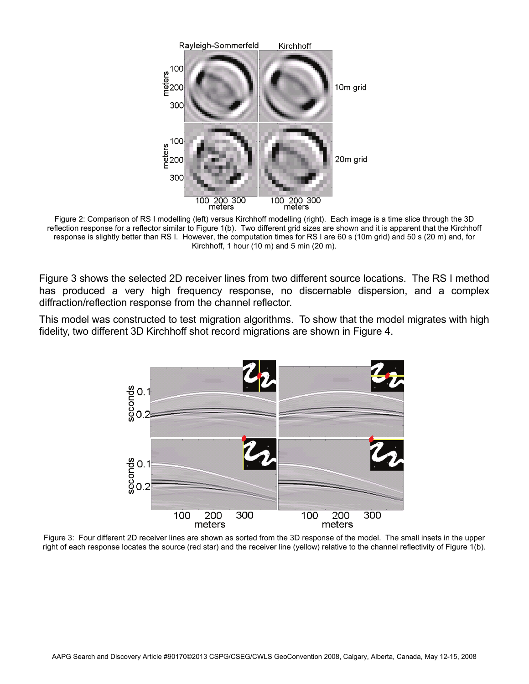

Figure 2: Comparison of RS I modelling (left) versus Kirchhoff modelling (right). Each image is a time slice through the 3D reflection response for a reflector similar to Figure 1(b). Two different grid sizes are shown and it is apparent that the Kirchhoff response is slightly better than RS I. However, the computation times for RS I are 60 s (10m grid) and 50 s (20 m) and, for Kirchhoff, 1 hour (10 m) and 5 min (20 m).

Figure 3 shows the selected 2D receiver lines from two different source locations. The RS I method has produced a very high frequency response, no discernable dispersion, and a complex diffraction/reflection response from the channel reflector.

This model was constructed to test migration algorithms. To show that the model migrates with high fidelity, two different 3D Kirchhoff shot record migrations are shown in Figure 4.



Figure 3: Four different 2D receiver lines are shown as sorted from the 3D response of the model. The small insets in the upper right of each response locates the source (red star) and the receiver line (yellow) relative to the channel reflectivity of Figure 1(b).